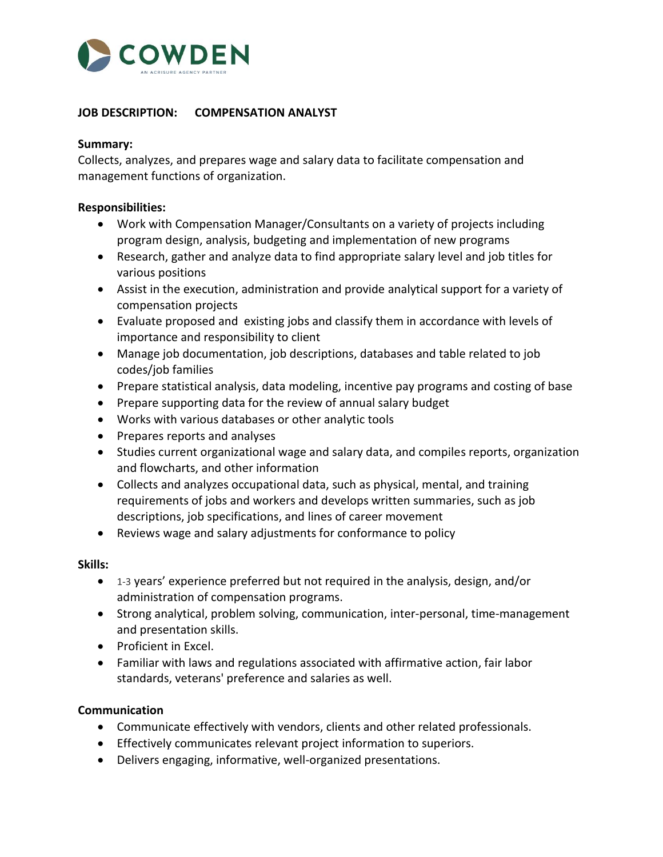

## **JOB DESCRIPTION: COMPENSATION ANALYST**

#### **Summary:**

Collects, analyzes, and prepares wage and salary data to facilitate compensation and management functions of organization.

#### **Responsibilities:**

- Work with Compensation Manager/Consultants on a variety of projects including program design, analysis, budgeting and implementation of new programs
- Research, gather and analyze data to find appropriate salary level and job titles for various positions
- Assist in the execution, administration and provide analytical support for a variety of compensation projects
- Evaluate proposed and existing jobs and classify them in accordance with levels of importance and responsibility to client
- Manage job documentation, job descriptions, databases and table related to job codes/job families
- Prepare statistical analysis, data modeling, incentive pay programs and costing of base
- Prepare supporting data for the review of annual salary budget
- Works with various databases or other analytic tools
- Prepares reports and analyses
- Studies current organizational wage and salary data, and compiles reports, organization and flowcharts, and other information
- Collects and analyzes occupational data, such as physical, mental, and training requirements of jobs and workers and develops written summaries, such as job descriptions, job specifications, and lines of career movement
- Reviews wage and salary adjustments for conformance to policy

### **Skills:**

- 1-3 years' experience preferred but not required in the analysis, design, and/or administration of compensation programs.
- Strong analytical, problem solving, communication, inter-personal, time-management and presentation skills.
- Proficient in Excel.
- Familiar with laws and regulations associated with affirmative action, fair labor standards, veterans' preference and salaries as well.

### **Communication**

- Communicate effectively with vendors, clients and other related professionals.
- Effectively communicates relevant project information to superiors.
- Delivers engaging, informative, well-organized presentations.